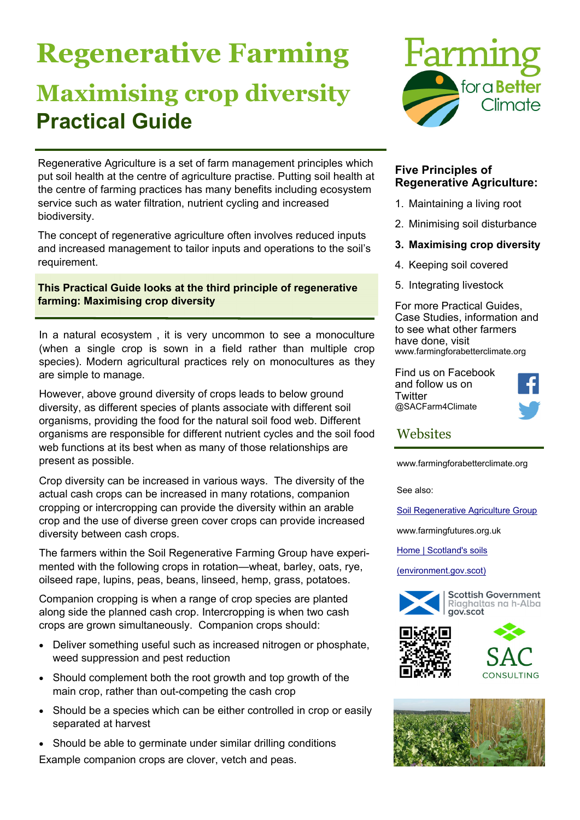# **Regenerative Farming Maximising crop diversity Practical Guide**



Regenerative Agriculture is a set of farm management principles which put soil health at the centre of agriculture practise. Putting soil health at the centre of farming practices has many benefits including ecosystem service such as water filtration, nutrient cycling and increased biodiversity.

The concept of regenerative agriculture often involves reduced inputs and increased management to tailor inputs and operations to the soil's requirement.

# **This Practical Guide looks at the third principle of regenerative farming: Maximising crop diversity**

In a natural ecosystem , it is very uncommon to see a monoculture (when a single crop is sown in a field rather than multiple crop species). Modern agricultural practices rely on monocultures as they are simple to manage.

However, above ground diversity of crops leads to below ground diversity, as different species of plants associate with different soil organisms, providing the food for the natural soil food web. Different organisms are responsible for different nutrient cycles and the soil food web functions at its best when as many of those relationships are present as possible.

Crop diversity can be increased in various ways. The diversity of the actual cash crops can be increased in many rotations, companion cropping or intercropping can provide the diversity within an arable crop and the use of diverse green cover crops can provide increased diversity between cash crops.

The farmers within the Soil Regenerative Farming Group have experimented with the following crops in rotation—wheat, barley, oats, rye, oilseed rape, lupins, peas, beans, linseed, hemp, grass, potatoes.

Companion cropping is when a range of crop species are planted along side the planned cash crop. Intercropping is when two cash crops are grown simultaneously. Companion crops should:

- Deliver something useful such as increased nitrogen or phosphate, weed suppression and pest reduction
- Should complement both the root growth and top growth of the main crop, rather than out-competing the cash crop
- Should be a species which can be either controlled in crop or easily separated at harvest
- Should be able to germinate under similar drilling conditions Example companion crops are clover, vetch and peas.

### **Five Principles of Regenerative Agriculture:**

- 1. Maintaining a living root
- 2. Minimising soil disturbance
- **3. Maximising crop diversity**
- 4. Keeping soil covered
- 5. Integrating livestock

For more Practical Guides, Case Studies, information and to see what other farmers have done, visit www.farmingforabetterclimate.org

Find us on Facebook and follow us on **Twitter** @SACFarm4Climate



# **Websites**

www.farmingforabetterclimate.org

See also:

Soil Regenerative Agriculture Group

www.farmingfutures.org.uk

Home | Scotland's soils

(environment.gov.scot)